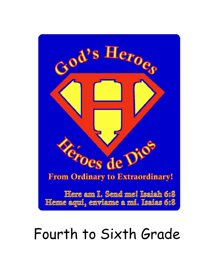

# Fourth to Sixth Grade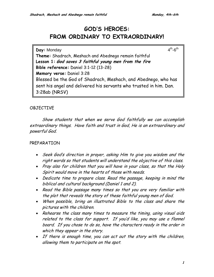# **GOD'S HEROES: FROM ORDINARY TO EXTRAORDINARY!**

**Day:** Monday 4<sup>th</sup>-6<sup>th</sup> **Theme:** Shadrach, Meshach and Abednego remain faithful **Lesson 1: God saves 3 faithful young men from the fire Bible reference:** Daniel 3:1-12 (13-28) **Memory verse:** Daniel 3:28 Blessed be the God of Shadrach, Meshach, and Abednego, who has sent his angel and delivered his servants who trusted in him. Dan. 3:28ab (NRSV)

# OBJECTIVE

Show students that when we serve God faithfully we can accomplish extraordinary things. Have faith and trust in God, He is an extraordinary and powerful God.

# PREPARATION

- Seek God's direction in prayer, asking Him to give you wisdom and the right words so that students will understand the objective of this class.
- Pray also for children that you will have in your class, so that the Holy Spirit would move in the hearts of those with needs.
- Dedicate time to prepare class. Read the passage, keeping in mind the biblical and cultural background (Daniel 1 and 2).
- Read the Bible passage many times so that you are very familiar with the plot that reveals the story of these faithful young men of God.
- When possible, bring an illustrated Bible to the class and share the pictures with the children.
- Rehearse the class many times to measure the timing, using visual aids related to the class for support. If you'd like, you may use a flannel board. If you chose to do so, have the characters ready in the order in which they appear in the story.
- If there is enough time, you can act out the story with the children, allowing them to participate on the spot.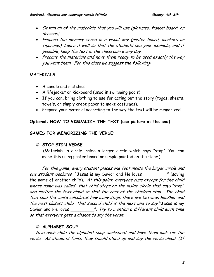- Obtain all of the materials that you will use (pictures, flannel board, or dresses).
- Prepare the memory verse in a visual way (poster board, markers or figurines). Learn it well so that the students see your example, and if possible, keep the text in the classroom every day.
- Prepare the materials and have them ready to be used exactly the way you want them. For this class we suggest the following:

### MATERIALS

- A candle and matches
- A lifejacket or kickboard (used in swimming pools)
- If you can, bring clothing to use for acting out the story (togas, sheets, towels, or simply crepe paper to make costumes).
- Prepare your material according to the way the text will be memorized.

# **Optional: HOW TO VISUALIZE THE TEXT (see picture at the end)**

### **GAMES FOR MEMORIZING THE VERSE:**

### ☺ **STOP SIGN VERSE**

(Materials: a circle inside a larger circle which says "stop". You can make this using poster board or simple painted on the floor.)

For this game, every student places one foot inside the larger circle and one student declares "Jesus is my Savior and He loves \_\_\_\_\_\_\_\_\_" (saying the name of another child). At this point, everyone runs except for the child whose name was called- that child steps on the inside circle that says "stop" and recites the text aloud so that the rest of the children stop. The child that said the verse calculates how many steps there are between him/her and the next closest child. That second child is the next one to say "Jesus is my Savior and He loves \_\_\_\_\_\_\_\_\_\_\_". Try to mention a different child each time so that everyone gets a chance to say the verse.

### ☺ **ALPHABET SOUP**

Give each child the alphabet soup worksheet and have them look for the verse. As students finish they should stand up and say the verse aloud. (If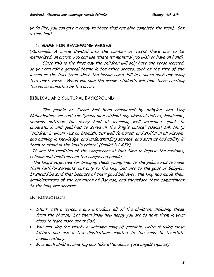you'd like, you can give a candy to those that are able complete the task). Set a time limit.

#### ☺ **GAME FOR REVIEWING VERSES:**

(Materials: A circle divided into the number of texts there are to be memorized, an arrow. You can use whatever material you wish or have on hand).

Since this is the first day the children will only have one verse learned, so you can add a general theme in the other spaces, such as the title of the lesson or the text from which the lesson came. Fill in a space each day using that day's verse. When you spin the arrow, students will take turns reciting the verse indicated by the arrow.

### BIBLICAL AND CULTURAL BACKGROUND

 The people of Israel had been conquered by Babylon, and King Nebuchadnezzar sent for "young men without any physical defect, handsome, showing aptitude for every kind of learning, well informed, quick to understand, and qualified to serve in the king's palace" (Daniel 1:4, NIV); "children in whom was no blemish, but well favoured, and skilful in all wisdom, and cunning in knowledge, and understanding science, and such as had ability in them to stand in the king's palace" (Daniel 1:4 KJV).

It was the tradition of the conquerors at that time to impose the customs, religion and traditions on the conquered people.

 The king's objective for bringing these young men to the palace was to make them faithful servants, not only to the king, but also to the gods of Babylon. It should be said that because of their good behavior, the king had made them administrators of the provinces of Babylon, and therefore their commitment to the king was greater.

### INTRODUCTION

- Start with a welcome and introduce all of the children, including those from the church. Let them know how happy you are to have them in your class to learn more about God.
- You can sing (or teach) a welcome song (if possible, write it using large letters and use a few illustrations related to the song to facilitate memorization).
- Give each child a name tag and take attendance. (use angels figures)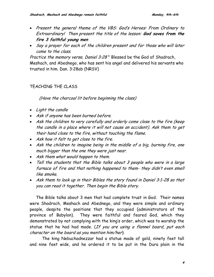- Present the general theme of the VBS: God's Heroes: From Ordinary to Extraordinary! Then present the title of the lesson: **God saves from the fire 3 faithful young men**
- Say a prayer for each of the children present and for those who will later come to the class.

Practice the memory verse, Daniel 3:28" Blessed be the God of Shadrach, Meshach, and Abednego, who has sent his angel and delivered his servants who trusted in him. Dan. 3:28ab (NRSV)

# TEACHING THE CLASS

(Have the charcoal lit before beginning the class)

- Light the candle
- Ask if anyone has been burned before.
- Ask the children to very carefully and orderly come close to the fire (keep the candle in a place where it will not cause an accident). Ask them to get their hand close to the fire, without touching the flame.
- Ask how it felt to get close to the fire.
- Ask the children to imagine being in the middle of a big, burning fire, one much bigger than the one they were just near.
- Ask them what would happen to them.
- Tell the students that the Bible talks about 3 people who were in a large furnace of fire and that nothing happened to them- they didn't even smell like smoke.
- Ask them to look up in their Bibles the story found in Daniel 3:1-28 so that you can read it together. Then begin the Bible story.

 The Bible talks about 3 men that had complete trust in God. Their names were Shadrach, Meshach and Abednego, and they were simple and ordinary people, despite the positions that they occupied (administrators of the province of Babylon). They were faithful and feared God, which they demonstrated by not complying with the king's order, which was to worship the statue that he had had made. (If you are using a flannel board, put each character on the board as you mention him/her).

The king Nebuchadnezzar had a statue made of gold, ninety feet tall and nine feet wide, and he ordered it to be put in the Dura plain in the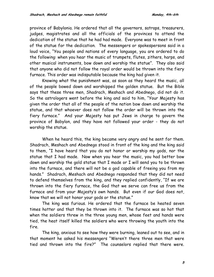province of Babylonia. He ordered that all the governors, satraps, treasurers, judges, magistrates and all the officials of the provinces to attend the dedication of the statue that he had had made. Everyone was to meet in front of the statue for the dedication. The messengers or spokespersons said in a loud voice, "You people and nations of every language, you are ordered to do the following: when you hear the music of trumpets, flutes, zithers, harps, and other musical instruments, bow down and worship the statue". They also said that anyone who did not follow the royal order would be thrown into the fiery furnace. This order was indisputable because the king had given it.

 Knowing what the punishment was, as soon as they heard the music, all of the people bowed down and worshipped the golden statue. But the Bible says that these three men, Shadrach, Meshach and Abednego, did not do it. So the astrologers went before the king and said to him, "Your Majesty has given the order that all of the people of the nation bow down and worship the statue, and that whoever does not follow the order will be thrown into the fiery furnace." And your Majesty has put Jews in charge to govern the province of Babylon, and they have not followed your order - they do not worship the statue.

 When he heard this, the king became very angry and he sent for them. Shadrach, Meshach and Abednego stood in front of the king and the king said to them, "I have heard that you do not honor or worship my gods, nor the statue that I had made. Now when you hear the music, you had better bow down and worship the gold statue that I made or I will send you to be thrown into the furnace, and there will not be a god capable of freeing you from my hands." Shadrach, Meshach and Abednego responded that they did not need to defend themselves from the king, and they replied confidently, "If we are thrown into the fiery furnace, the God that we serve can free us from the furnace and from your Majesty's own hands. But even if our God does not, know that we will not honor your gods or the statue."

 The king was furious. He ordered that the furnace be heated seven times hotter and that they be thrown into it. The furnace was so hot that when the soldiers threw in the three young men, whose feet and hands were tied, the heat itself killed the soldiers who were throwing the youth into the fire.

 The king, anxious to see how they were burning, leaned out to see, and in that moment he asked his messengers "Weren't there three men that were tied and thrown into the fire?" The counselors replied that there were.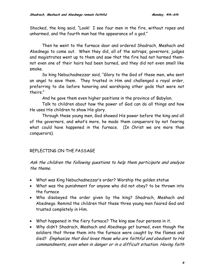Shocked, the king said, "Look! I see four men in the fire, without ropes and unharmed, and the fourth man has the appearance of a god."

Then he went to the furnace door and ordered Shadrach, Meshach and Abednego to come out. When they did, all of the satraps, governors, judges and magistrates went up to them and saw that the fire had not harmed themnot even one of their hairs had been burned, and they did not even smell like smoke.

So king Nebuchadnezzar said, "Glory to the God of these men, who sent an angel to save them. They trusted in Him and challenged a royal order, preferring to die before honoring and worshiping other gods that were not theirs."

And he gave them even higher positions in the province of Babylon.

Talk to children about how the power of God can do all things and how He uses His children to show His glory.

Through these young men, God showed His power before the king and all of the governors, and what's more, he made them conquerors by not fearing what could have happened in the furnace. (In Christ we are more than conquerors).

# REFLECTING ON THE PASSAGE

Ask the children the following questions to help them participate and analyze the theme.

- What was King Nebuchadnezzar's order? Worship the golden statue
- What was the punishment for anyone who did not obey? to be thrown into the furnace
- Who disobeyed the order given by the king? Shadrach, Meshach and Abednego. Remind the children that these three young men feared God and trusted completely in Him.
- What happened in the fiery furnace? The king saw four persons in it.
- Why didn't Shadrach, Meshach and Abednego get burned, even though the soldiers that threw them into the furnace were caught by the flames and died? Emphasize that God loves those who are faithful and obedient to His commandments, even when in danger or in a difficult situation. Having faith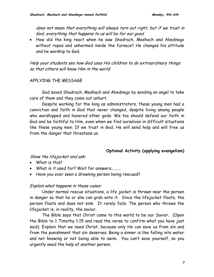does not mean that everything will always turn out right, but if we trust in God, everything that happens to us will be for our good.

• How did the king react when he saw Shadrach, Meshach and Abednego without ropes and unharmed inside the furnace? He changes his attitude and he worship to God.

Help your students see how God uses His children to do extraordinary things so that others will know Him in the world.

# APPLYING THE MESSAGE

 God saved Shadrach, Meshach and Abednego by sending an angel to take care of them and they come out unhurt.

Despite working for the king as administrators, these young men had a conviction and faith in God that never changed, despite living among people who worshipped and honored other gods. We too should defend our faith in God and be faithful to Him, even when we find ourselves in difficult situations like these young men. If we trust in God, He will send help and will free us from the danger that threatens us.

### **Optional Activity (applying evangelism)**

Show the lifejacket and ask:

- What is this?
- What is it used for? Wait for answers……….
- Have you ever seen a drowning person being rescued?

### Explain what happens in these cases:

Under normal rescue situations, a life jacket is thrown near the person in danger so that he or she can grab onto it. Since the lifejacket floats, the person floats and does not sink. It rarely fails. The person who throws the lifejacket is, in reality, the savior.

The Bible says that Christ came to this world to be our Savior. (Open the Bible to 1 Timothy 1:15 and read the verse to confirm what you have just said). Explain that we need Christ, because only He can save us from sin and from the punishment that sin deserves. Being a sinner is like falling into water and not knowing or not being able to swim. You can't save yourself, so you urgently need the help of another person.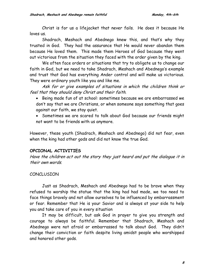Christ is for us a lifejacket that never fails. He does it because He loves us.

Shadrach, Meshach and Abednego knew this, and that's why they trusted in God. They had the assurance that He would never abandon them because He loved them. This made them Heroes of God because they went out victorious from the situation they faced with the order given by the king.

We often face orders or situations that try to obligate us to change our faith in God, but we need to take Shadrach, Meshach and Abednego's example and trust that God has everything Ander control and will make us victorious. They were ordinary youth like you and like me.

Ask for or give examples of situations in which the children think or feel that they should deny Christ and their faith.

- Being made fun of at school: sometimes because we are embarrassed we don't say that we are Christians, or when someone says something that goes against our faith, we stay quiet.
- Sometimes we are scared to talk about God because our friends might not want to be friends with us anymore.

However, these youth (Shadrach, Meshach and Abednego) did not fear, even when the king had other gods and did not know the true God.

# **OPCIONAL ACTIVITIES**

Have the children act out the story they just heard and put the dialogue it in their own words.

# CONCLUSION

 Just as Shadrach, Meshach and Abednego had to be brave when they refused to worship the statue that the king had had made, we too need to face things bravely and not allow ourselves to be influenced by embarrassment or fear. Remember that He is your Savior and is always at your side to help you and take care of you in every situation

It may be difficult, but ask God in prayer to give you strength and courage to always be faithful. Remember that Shadrach, Meshach and Abednego were not afraid or embarrassed to talk about God. They didn't change their conviction or faith despite living amidst people who worshipped and honored other gods.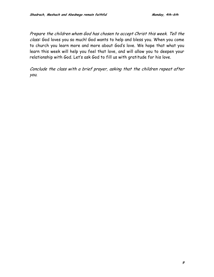Prepare the children whom God has chosen to accept Christ this week. Tell the class: God loves you so much! God wants to help and bless you. When you come to church you learn more and more about God's love. We hope that what you learn this week will help you feel that love, and will allow you to deepen your relationship with God. Let's ask God to fill us with gratitude for his love.

Conclude the class with a brief prayer, asking that the children repeat after you.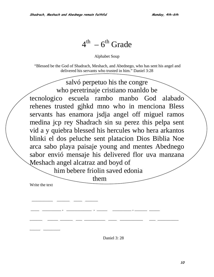# $4^{th}$  – 6<sup>th</sup> Grade

Alphabet Soup

 "Blessed be the God of Shadrach, Meshach, and Abednego, who has sent his angel and delivered his servants who trusted in him." Daniel 3:28

salvó perpetuo his the congre who peretrinaje cristiano roanldo be tecnologico escuela rambo manbo God alabado rehenes trusted gjhkd mno who in menciona Bless servants has enamora jsdja angel off miguel ramos medina jcp rey Shadrach sin su perez this pelpa sent vid a y quiebra blessed his hercules who hera arkantos blinki el dos peluche sent platacion Dios Biblia Noe arca sabo playa paisaje young and mentes Abednego sabor envió mensaje his delivered flor uva manzana Meshach angel alcatraz and boyd of

him bebere friolin saved edonia

\_\_\_\_ \_\_\_\_\_\_\_\_\_ , \_\_\_\_\_\_\_\_\_\_\_\_ , \_\_\_\_\_ \_\_\_\_\_\_\_\_\_ , \_\_\_\_\_\_ \_\_\_\_\_

\_\_\_\_\_\_ \_\_\_\_\_ \_\_\_\_\_\_ \_\_\_ \_\_\_\_\_\_\_\_\_\_ \_\_\_\_ \_\_\_\_\_\_\_\_\_\_\_ \_\_\_ \_\_\_\_\_\_\_\_\_\_

them

Write the text

\_\_\_\_\_ \_\_\_\_\_\_\_\_

 $\frac{1}{2}$  ,  $\frac{1}{2}$  ,  $\frac{1}{2}$  ,  $\frac{1}{2}$  ,  $\frac{1}{2}$  ,  $\frac{1}{2}$  ,  $\frac{1}{2}$ 

Daniel 3: 28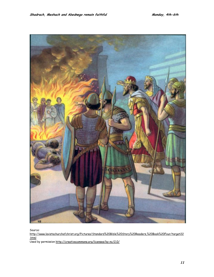

Source:

[http://www.lavistachurchofchrist.org/Pictures/Standard%20Bible%20Story%20Readers,%20Book%20Four/target22](http://www.lavistachurchofchrist.org/Pictures/Standard%20Bible%20Story%20Readers,%20Book%20Four/target22.html) [.html](http://www.lavistachurchofchrist.org/Pictures/Standard%20Bible%20Story%20Readers,%20Book%20Four/target22.html)

Used by permission<http://creativecommons.org/licenses/by-nc/2.0/>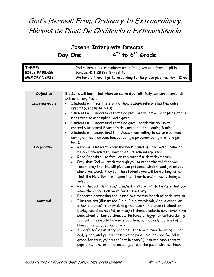# God's Heroes: From Ordinary to Extraordinary… Héroes de Dios: De Ordinario a Extraordinario…

# **Joseph Interprets Dreams**  Day One 4<sup>th</sup> to 6<sup>th</sup> Grade

| THEME:<br><b>BIBLE PASSAGE:</b><br><b>MEMORY VERSE:</b> | God makes us extraordinary when God gives us different gifts.<br>Genesis 41:1-28 (29-37) 38-40.<br>We have different gifts, according to the grace given us. Rom. 12:6a                                                                                                                                                                                                                                                                                                                                                                                                                                                                                                                                                                                                   |  |  |
|---------------------------------------------------------|---------------------------------------------------------------------------------------------------------------------------------------------------------------------------------------------------------------------------------------------------------------------------------------------------------------------------------------------------------------------------------------------------------------------------------------------------------------------------------------------------------------------------------------------------------------------------------------------------------------------------------------------------------------------------------------------------------------------------------------------------------------------------|--|--|
|                                                         |                                                                                                                                                                                                                                                                                                                                                                                                                                                                                                                                                                                                                                                                                                                                                                           |  |  |
| Objective                                               | Students will learn that when we serve God faithfully, we can accomplish<br>extraordinary feats.                                                                                                                                                                                                                                                                                                                                                                                                                                                                                                                                                                                                                                                                          |  |  |
| <b>Learning Goals</b>                                   | Students will hear the story of how Joseph interpreted Pharaoh's<br>dreams (Genesis 41:1-40)<br>Students will understand that God put Joseph in the right place at the<br>$\bullet$<br>right time to accomplish God's goals.<br>Students will understand that God gave Joseph the ability to<br>$\bullet$<br>correctly interpret Pharaoh's dreams about the coming famine.<br>Students will understand that Joseph was willing to serve God even<br>$\bullet$<br>during difficult circumstances (being a prisoner, being in a foreign<br>land).                                                                                                                                                                                                                           |  |  |
| Preparation                                             | Read Genesis 40 to know the background of how Joseph came to<br>be recommended to Pharaoh as a dream interpreter.<br>Read Genesis 41 to familiarize yourself with today's story.<br>$\bullet$<br>Pray that God will work through you to reach the children you<br>$\bullet$<br>teach; pray that He will give you patience, wisdom, and joy as you<br>share His word. Pray for the students you will be working with,<br>that the Holy Spirit will open their hearts and minds to today's<br>lesson.<br>Read through the "true/false/not in story" list to be sure that you<br>$\bullet$<br>know the correct answers for this activity.                                                                                                                                    |  |  |
| Material                                                | Rehearse presenting the lesson to time the length of each section.<br>$\bullet$<br>Illustrations (illustrated Bible, Bible storybook, Abeka cards, or<br>$\bullet$<br>other pictures) to show during the lesson. Pictures of wheat or<br>barley would be helpful, as many of these students may never have<br>seen wheat or barley sheaves. Pictures of Egyptian culture during<br>Biblical times would be a nice addition, particularly pictures of a<br>Pharaoh or an Egyptian palace.<br>True/false/not in story paddles. These are made by using 3-inch<br>red, green, and yellow construction paper circles (red for false,<br>green for true, yellow for "not in story".) You can tape them to<br>popsicle sticks, or children can just use the paper circles. Each |  |  |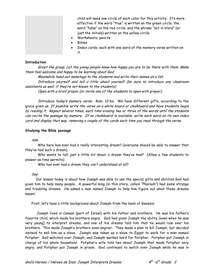child will need one circle of each color for this activity. It's more effective if the word "true" is written on the green circle, the word "false" on the red circle, and the phrase "not in story" (or just the initials) written on the yellow circle.

- Worksheets, pencils
- Bibles
- Index cards, each with one word of the memory verse written on it.

#### **Introduction**

Greet the group. Let the young people know how happy you are to be there with them. Make them feel welcome and happy to be learning about God.

Meanwhile hand out nametags to the students and write their names on a list. Introduce yourself and tell a little about yourself (be sure to introduce any classroom assistants as well, if they're not known to the students)

Open with a brief prayer (or invite one of the students to open with prayer)

Introduce today's memory verse: Rom. 12:6a: We have different gifts, according to the grace given us. If possible write the verse on a white board or chalkboard and have students begin by reading it. Repeat several times, each time erasing two or three of the words until the students can recite the passage by memory. If no chalkboard is available, write each word on its own index card and display that way, removing a couple of the cards each time you read through the verse.

#### **Studying the Bible passage**

Ask:

· Who here has ever had a really interesting dream? (everyone should be able to answer that they've had such a dream).

· Who wants to tell just a little bit about a dream they've had? (Allow a few students to answer as time permits).

· Who has ever had a dream they can't understand at all?

Say:

 Our lesson today is about how Joseph was able to use the special gifts and abilities God had given him to help many people. A powerful king (in this story, called "Pharaoh") had some strange and troubling dreams. He asked a man named Joseph to help him figure out what those dreams meant.

First, let's have a little background about Joseph from the book of Genesis:

 Joseph lived in Canaan (part of Israel) with his father and brothers. He was his father's favorite child, which made his brothers angry. God had given Joseph the ability (even when he was very young) to interpret dreams, and one of his dreams told him that he would rule over his brothers. This made Joseph's brothers even angrier. They made a plan to kill Joseph, but decided instead to sell him as a slave. Joseph was taken as a slave to Egypt to work for a man named Potiphar. God watched over Joseph, and Joseph worked hard for Potiphar. Potiphar put Joseph in charge of his whole household. Potiphar's wife told lies about Joseph that made Potiphar very angry, and Potiphar put Joseph in prison. God continued to watch over Joseph while he was in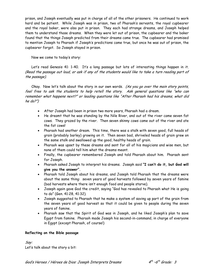prison, and Joseph eventually was put in charge of all of the other prisoners. He continued to work hard and be patient. While Joseph was in prison, two of Pharaoh's servants, the royal cupbearer and the royal baker, were also put in prison. They each had strange dreams, and Joseph helped them to understand those dreams. When they were let out of prison, the cupbearer and the baker found that the things Joseph predicted from their dreams came true. The cupbearer had promised to mention Joseph to Pharaoh if Joseph's predictions came true, but once he was out of prison, the cupbearer forgot. So Joseph stayed in prison.

Now we come to today's story:

Let's read Genesis 41: 1-40. It's a long passage but lots of interesting things happen in it. (Read the passage out loud, or ask if any of the students would like to take a turn reading part of the passage).

Okay. Now let's talk about the story in our own words. (As you go over the main story points, feel free to ask the students to help retell the story. Ask general questions like "who can remember what happens next?" or leading questions like "After Pharaoh had his dreams, what did he do?")

- After Joseph had been in prison two more years, Pharaoh had a dream.
- He dreamt that he was standing by the Nile River, and out of the river came seven fat cows. They grazed by the river. Then seven skinny cows came out of the river and ate the fat cows!
- Pharaoh had another dream. This time, there was a stalk with seven good, full heads of grain (probably barley) growing on it. Then seven bad, shriveled heads of grain grew on the same stalk and swallowed up the good, healthy heads of grain.
- Pharaoh was upset by these dreams and sent for all of his magicians and wise men, but none of them could tell him what the dreams meant.
- Finally, the cupbearer remembered Joseph and told Pharaoh about him. Pharaoh sent for Joseph.
- Pharaoh asked Joseph to interpret his dreams. Joseph said **"I can't do it, but God will give you the answer".**
- Pharaoh told Joseph about his dreams, and Joseph told Pharaoh that the dreams were about the same thing: seven years of good harvests followed by seven years of famine (bad harvests where there isn't enough food and people starve).
- Joseph again gave God the credit, saying "God has revealed to Pharaoh what He is going to do" (Gen. 41:28, 41:32).
- Joseph suggested to Pharaoh that he make a system of saving up part of the grain from the seven years of good harvest so that it could be given to people during the seven years of famine.
- Pharaoh saw that the Spirit of God was in Joseph, and he liked Joseph's plan to save Egypt from famine. Pharaoh made Joseph his second-in-command, in charge of everyone in Egypt (except Pharaoh, of course!)

#### **Reflecting on the Bible passage**

Say: Let's talk about the story a bit: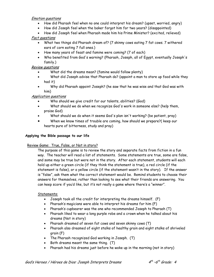#### Emotion questions

- How did Pharaoh feel when no one could interpret his dream? (upset, worried, angry)
- How did Joseph feel when the baker forgot him for two years? (disappointed)
- How did Joseph feel when Pharaoh made him his Prime Minister? (excited, relieved)

#### Fact questions

- What two things did Pharaoh dream of? (7 skinny cows eating 7 fat cows. 7 withered ears of corn eating 7 full ones.)
- How many years of feast and famine were coming? (7 of each)
- Who benefited from God's warning? (Pharaoh, Joseph, all of Egypt, eventually Joseph's family.)

#### Review questions

- What did the dreams mean? (famine would follow plenty)
- What did Joseph advise that Pharaoh do? (appoint a man to store up food while they had it)
- Why did Pharaoh appoint Joseph? (he saw that he was wise and that God was with him)

#### Application questions

- Who should we give credit for our talents, abilities? (God)
- What should we do when we recognize God's work in someone else? (help them, praise God)
- What should we do when it seems God's plan isn't working? (be patient, pray)
- When we know times of trouble are coming, how should we prepare?( keep our hearts pure of bitterness, study and pray)

#### **Applying the Bible passage to our life**

#### Review Game: True, False, or Not in story?

The purpose of this game is to review the story and separate facts from fiction in a fun way. The teacher will read a list of statements. Some statements are true, some are false, and some may be true but were not in the story. After each statement, students will each hold up either a green circle (if they think the statement is true), a red circle (if the statement is false), or a yellow circle (if the statement wasn't in the story). If the answer is "false", ask them what the correct statement would be. Remind students to choose their answers for themselves, rather than looking to see what their friends are answering. You can keep score if you'd like, but it's not really a game where there's a "winner".

#### Statements:

- Joseph took all the credit for interpreting the dreams himself. (F)
- Pharaoh's magicians were able to interpret his dreams for him (F)
- Pharaoh's cupbearer was the one who recommended Joseph to Pharaoh (T)
- Pharaoh liked to wear a long purple robe and a crown when he talked about his dreams (Not in story)
- Pharaoh dreamed of seven fat cows and seven skinny cows (T)
- Pharaoh also dreamed of eight stalks of healthy grain and eight stalks of shriveled grain (F)
- The Pharaoh recognized God working in Joseph. (T)
- Both dreams meant the same thing. (T)
- Pharaoh had his dreams just before he woke up in the morning (not in story)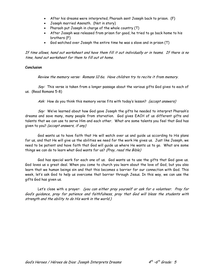- After his dreams were interpreted, Pharaoh sent Joseph back to prison. (F)
- Joseph married Asenath. (Not in story)
- Pharaoh put Joseph in charge of the whole country (T)
- After Joseph was released from prison for good, he tried to go back home to his brothers (F)
- God watched over Joseph the entire time he was a slave and in prison (T)

If time allows, hand out worksheet and have them fill it out individually or in teams. If there is no time, hand out worksheet for them to fill out at home.

#### **Conclusion**

Review the memory verse: Romans 12:6a. Have children try to recite it from memory.

Say: This verse is taken from a longer passage about the various gifts God gives to each of us. (Read Romans 5-8)

Ask: How do you think this memory verse fits with today's lesson? (accept answers)

Say: We've learned about how God gave Joseph the gifts he needed to interpret Pharaoh's dreams and save many, many people from starvation. God gives EACH of us different gifts and talents that we can use to serve Him and each other. What are some talents you feel that God has given to you? (accept answers, if any)

God wants us to have faith that He will watch over us and guide us according to His plans for us, and that He will give us the abilities we need for the work He gives us. Just like Joseph, we need to be patient and have faith that God will guide us where He wants us to go. What are some things we can do to learn what God wants for us? (Pray, read the Bible)

God has special work for each one of us. God wants us to use the gifts that God gave us. God loves us a great deal. When you come to church you learn about the love of God, but you also learn that we human beings sin and that this becomes a barrier for our connection with God. This week, let's ask God to help us overcome that barrier through Jesus. In this way, we can use the gifts God has given us.

Let's close with a prayer: (you can either pray yourself or ask for a volunteer. Pray for God's guidance, pray for patience and faithfulness, pray that God will bless the students with strength and the ability to do His work in the world.)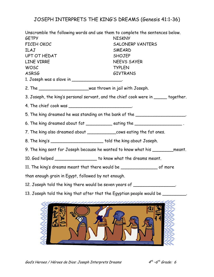# JOSEPH INTERPRETS THE KING'S DREAMS (Genesis 41:1-36)

Unscramble the following words and use them to complete the sentences below. GETPY NISKNY FICEH OKOC SALONERP VANTERS ILAJ SMEARD UPT OT HEDAT SHOJEP LINE VIRRE NEEVS SAYER WOSC TYPLEN ASRSG GIVTRANS 1. Joseph was a slave in \_\_\_\_\_\_\_\_\_\_\_\_\_\_\_\_\_\_\_\_\_. 2. The \_\_\_\_\_\_\_\_\_\_\_\_\_\_\_\_\_\_\_was thrown in jail with Joseph. 3. Joseph, the king's personal servant, and the chief cook were in \_\_\_\_\_ together. 4. The chief cook was \_\_\_\_\_\_\_\_\_\_\_\_\_\_\_\_\_\_\_\_\_\_\_\_\_. 5. The king dreamed he was standing on the bank of the \_\_\_\_\_\_\_\_\_\_\_\_\_\_\_\_\_\_\_\_\_. 6. The king dreamed about  $fat$  eating the  $\qquad \qquad$ 7. The king also dreamed about \_\_\_\_\_\_\_\_\_\_\_cows eating the fat ones. 8. The king's \_\_\_\_\_\_\_\_\_\_\_\_\_\_\_\_\_\_\_\_ told the king about Joseph. 9. The king sent for Joseph because he wanted to know what his \_\_\_\_\_\_\_\_meant. 10. God helped \_\_\_\_\_\_\_\_\_\_\_\_\_\_\_\_\_\_ to know what the dreams meant. 11. The king's dreams meant that there would be \_\_\_\_\_\_\_\_\_\_\_\_\_\_ of more than enough grain in Egypt, followed by not enough. 12. Joseph told the king there would be seven years of \_\_\_\_\_\_\_\_\_\_\_\_\_\_\_\_\_. 13. Joseph told the king that after that the Egyptian people would be \_\_\_\_\_\_\_\_\_

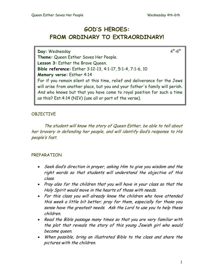# **GOD'S HEROES: FROM ORDINARY TO EXTRAORDINARY!**

**Day:** Wednesday  $4^{\text{th}}-6^{\text{th}}$ **Theme:** Queen Esther Saves Her People. **Lesson 3:** Esther the Brave Queen. **Bible reference:** Esther 3:12-13, 4:1-17, 5:1-4, 7:1-6, 10 **Memory verse:** Esther 4:14 For if you remain silent at this time, relief and deliverance for the Jews will arise from another place, but you and your father's family will perish. And who knows but that you have come to royal position for such a time as this? Est.4:14 (NIV) (use all or part of the verse).

# OBJECTIVE

 The student will know the story of Queen Esther, be able to tell about her bravery in defending her people, and will identify God's response to His people's fast.

# PREPARATION

- Seek God's direction in prayer, asking Him to give you wisdom and the right words so that students will understand the objective of this class.
- Pray also for the children that you will have in your class so that the Holy Spirit would move in the hearts of those with needs.
- For this class you will already know the children who have attended this week a little bit better; pray for them, especially for those you sense have the greatest needs. Ask the Lord to use you to help these children.
- Read the Bible passage many times so that you are very familiar with the plot that reveals the story of this young Jewish girl who would become queen.
- When possible, bring an illustrated Bible to the class and share the pictures with the children.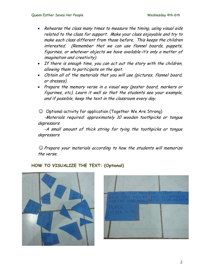- Rehearse the class many times to measure the timing, using visual aids related to the class for support. Make your class enjoyable and try to make each class different from those before. This keeps the children interested. (Remember that we can use flannel boards, puppets, figurines, or whatever objects we have available-it's only a matter of imagination and creativity).
- If there is enough time, you can act out the story with the children, allowing them to participate on the spot.
- Obtain all of the materials that you will use (pictures, flannel board, or dresses).
- Prepare the memory verse in a visual way (poster board, markers or figurines, etc). Learn it well so that the students see your example, and if possible, keep the text in the classroom every day.

☺ Optional activity for application (Together We Are Strong)

-Materials required: approximately 10 wooden toothpicks or tongue depressors

 -A small amount of thick string for tying the toothpicks or tongue depressors

*☺*Prepare your materials according to how the students will memorize the verse.

# **HOW TO VISUALIZE THE TEXT: (Optional)**



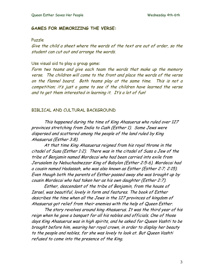#### **GAMES FOR MEMORIZING THE VERSE:**

#### Puzzle

Give the child a sheet where the words of the text are out of order, so the student can cut out and arrange the words.

### Use visual aid to play a group game:

Form two teams and give each team the words that make up the memory verse. The children will come to the front and place the words of the verse on the flannel board. Both teams play at the same time. This is not a competition; it's just a game to see if the children have learned the verse and to get them interested in learning it. It's a lot of fun!

#### BIBLICAL AND CULTURAL BACKGROUND

This happened during the time of King Ahasuerus who ruled over 127 provinces stretching from India to Cush (Esther 1). Some Jews were dispersed and scattered among the people of the land ruled by King Ahasuerus (Esther 3:8).

 At that time King Ahasuerus reigned from his royal throne in the citadel of Susa (Esther 1:2). There was in the citadel of Susa a Jew of the tribe of Benjamin named Mordecai who had been carried into exile from Jerusalem by Nebuchadnezzar King of Babylon (Esther 2:5-6). Mordecai had a cousin named Hadassah, who was also known as Esther (Esther 2:7; 2:15). Even though both the parents of Esther passed away she was brought up by cousin Mordecai who had taken her as his own daughter (Esther 2:7).

Esther, descendant of the tribe of Benjamin, from the house of Israel, was beautiful, lovely in form and features. The book of Esther describes the time when all the Jews in the 127 provinces of kingdom of Ahasuerus got relief from their enemies with the help of Queen Esther.

The story revolves around king Ahasuerus. It was the third year of his reign when he gave a banquet for all his nobles and officials. One of those days King Ahasuerus was in high spirits, and he asked for Queen Vashti to be brought before him, wearing her royal crown, in order to display her beauty to the people and nobles, for she was lovely to look at. But Queen Vashti refused to come into the presence of the King.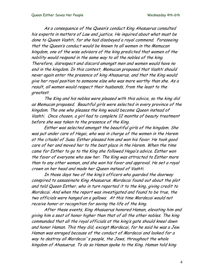As a consequence of the Queen's conduct King Ahasuerus consulted his experts in matters of Law and justice. He inquired about what must be done to Queen Vashti, for she had disobeyed a royal commend. Foreseeing that the Queen's conduct would be known to all women in the Memucan kingdom, one of the wise advisors of the king predicted that women of the nobility would respond in the same way to all the nobles of the king. Therefore, disrespect and discord amongst men and women would have no end in the kingdom. In this context, Memucan proposed that Vashti should never again enter the presence of king Ahasuerus, and that the King would give her royal position to someone else who was more worthy than she. As a result, all women would respect their husbands, from the least to the greatest.

The King and his nobles were pleased with this advice, so the king did as Memucan proposed. Beautiful girls were selected in every province of the kingdom. The one who pleases the king would become Queen instead of Vashti. Once chosen, a girl had to complete 12 months of beauty treatment before she was taken to the presence of the King.

Esther was selected amongst the beautiful girls of the kingdom. She was put under care of Hegai, who was in charge of the women in the Harem at the citadel of Susa. Esther pleased him and won his favor. He took good care of her and moved her to the best place in the Harem. When the time came for Esther to go to the King she followed Hegai's advice. Esther won the favor of everyone who saw her. The King was attracted to Esther more than to any other woman, and she won his favor and approval. He set a royal crown on her head and made her Queen instead of Vashti.

In those days two of the king's officers who guarded the doorway conspired to assassinate King Ahasuerus. Mordecai found out about the plot and told Queen Esther, who in turn reported it to the king, giving credit to Mordecai. And when the report was investigated and found to be true, the two officials were hanged on a gallows. At this time Mordecai would not receive honor or recognition for saving the life of the king.

After these events, King Ahasuerus honored Haman, elevating him and giving him a seat of honor higher than that of all the other nobles. The king commanded that all the royal officials at the king's gate should kneel down and honor Haman. This they did, except Mordecai, for he said he was a Jew. Haman was enraged because of the conduct of Mordecai and looked for a way to destroy all Mordecai's people, the Jews, throughout the whole kingdom of Ahasuerus. To do so Haman spoke to the King. Haman told king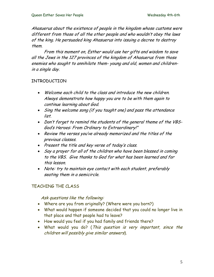Ahasuerus about the existence of people in the kingdom whose customs were different from those of all the other people and who wouldn't obey the laws of the king. He persuaded king Ahasuerus into issuing a decree to destroy them.

From this moment on, Esther would use her gifts and wisdom to save all the Jews in the 127 provinces of the kingdom of Ahasuerus from those enemies who sought to annihilate them- young and old, women and childrenin a single day.

# INTRODUCTION

- Welcome each child to the class and introduce the new children. Always demonstrate how happy you are to be with them again to continue learning about God.
- Sing the welcome song (if you taught one) and pass the attendance list.
- Don't forget to remind the students of the general theme of the VBS-God's Heroes: From Ordinary to Extraordinary!"
- Review the verses you've already memorized and the titles of the previous classes.
- Present the title and key verse of today's class.
- Say a prayer for all of the children who have been blessed in coming to the VBS. Give thanks to God for what has been learned and for this lesson.
- Note: try to maintain eye contact with each student, preferably seating them in a semicircle.

# TEACHING THE CLASS

Ask questions like the following:

- Where are you from originally? (Where were you born?)
- What would happen if someone decided that you could no longer live in that place and that people had to leave?
- How would you feel if you had family and friends there?
- What would you do? (This question is very important, since the children will possibly give similar answers).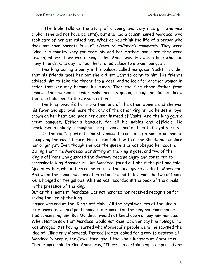The Bible tells us the story of a young and very nice girl who was orphan (she did not have parents), but she had a cousin named Mordecai who took care of her and raised her. What do you think the life of a person who does not have parents is like? Listen to children's comments. They were living in a country very far from his and her mother land since they were Jewish, where there was a king called Ahasuerus. He was a king who had many friends. One day invited them to his palace to a great banquet.

This king during a party in his palace, called his queen Vashti in order that his friends meet her but she did not want to come to him. His friends advised him to take the throne from Vasti and to look for another woman in order that she may become his queen. Then the King chose Esther from among other women in order make her his queen, though he did not know that she belonged to the Jewish nation.

The king loved Esther more than any of the other women, and she won his favor and approval more than any of the other virgins. So he set a royal crown on her head and made her queen instead of Vashti And the king gave a great banquet, Esther's banquet, for all his nobles and officials. He proclaimed a holiday throughout the provinces and distributed royalty gifts.

 In the God's perfect plan she passed from being a simple orphan to occupying the royal throne. Her cousin told her that she should not declare her origin yet. Even though she was the queen, she was obeyed her cousin. During that time Mordecai was sitting at the king's gate, and two of the king's officers who guarded the doorway became angry and conspired to assassinate King Ahasuerus. But Mordecai found out about the plot and told Queen Esther, who in turn reported it to the king, giving credit to Mordecai. And when the report was investigated and found to be true, the two officials were hanged on the gallows. All this was recorded in the book of the annals in the presence of the king.

But at this moment, Mordacai was not honored nor received recognition for saving the life of the king.

Haman was one of the King's officials. All the royal workers at the king's gate bowed down and paid homage to Haman, for the king had commanded this concerning him. But Mordecai would not kneel down or pay him homage. When Haman saw that Mordecai would not kneel down or pay him homage, he was enraged. Yet having learned who Mordecai's people were, he scorned the idea of killing only Mordecai. Instead Haman looked for a way to destroy all Mordecai's people, the Jews, throughout the whole kingdom of Ahasuerus. Then Haman said to King Ahasuerus, "There is a certain people dispersed and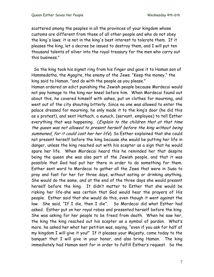scattered among the peoples in all the provinces of your kingdom whose customs are different from those of all other people and who do not obey the king's laws; it is not in the king's best interest to tolerate them. If it pleases the king, let a decree be issued to destroy them, and I will put ten thousand talents of silver into the royal treasury for the men who carry out this business."

 So the king took his signet ring from his finger and gave it to Haman son of Hammedatha, the Agagite, the enemy of the Jews. "Keep the money," the king said to Haman, "and do with the people as you please."

Haman ordered an edict punishing the Jewish people because Mordecai would not pay homage to the king nor kneel before him. When Mordecai found out about this, he covered himself with ashes, put on clothes for mourning, and went out of the city shouting bitterly. Since no one was allowed to enter the palace dressed for mourning, he only made it to the king's door (he did this as a protest), and sent Hathach, a eunuch, (servant, employee) to tell Esther everything that was happening. (Explain to the children that at that time the queen was not allowed to present herself before the king without being summoned, for it could cost her her life). So Esther explained that she could not present herself before the king because she would be putting her life in danger, unless the king reached out with his scepter as a sign that he would spare her life. When Mordecai heard this he reminded her that despite being the queen she was also part of the Jewish people, and that it was possible that God had put her there in order to do something for them. Esther sent word to Mordecai to gather all the Jews that were in Susa to pray and fast for her for three days, without eating or drinking anything. She would do the same, and at the end of the three days she would present herself before the king. It didn't matter to Esther that she would be risking her life-she was certain that God would hear the prayers of His people. Esther said that she would do this, even though it went against the law. She said, "If I die, then I die". So Mordecai did what Esther had asked. Esther put on her royal robes and presented herself before the king. She was asking for her people to be freed from death. When he saw her, the king the king reached out his scepter as a symbol of pardon. What's more, he asked her what her petition was, saying, "even if you ask for half of my kingdom I will give it you!" If it pleases your Majesty, come today to the banquet that I will give in your honor, and also bring Haman. The king immediately had Haman sent for in order to fulfill Esther's request. So the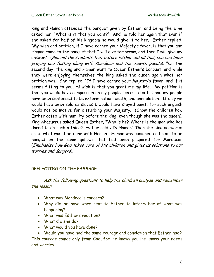king and Haman attended the banquet given by Esther, and being there he asked her, "What is it that you want?" And he told her again that even if she asked for half of his kingdom he would give it to her. Esther replied, "My wish and petition, if I have earned your Majesty's favor, is that you and Haman come to the banquet that I will give tomorrow, and then I will give my answer." (Remind the students that before Esther did all this, she had been praying and fasting along with Mordecai and the Jewish people). "On the second day, the king and Haman went to Queen Esther's banquet, and while they were enjoying themselves the king asked the queen again what her petition was. She replied, "If I have earned your Majesty's favor, and if it seems fitting to you, mi wish is that you grant me my life. My petition is that you would have compassion on my people, because both I and my people have been sentenced to be extermination, death, and annihilation. If only we would have been sold as slaves I would have stayed quiet, for such anguish would not be motive for disturbing your Majesty. (Show the children how Esther acted with humility before the king, even though she was the queen). King Ahasuerus asked Queen Esther, "Who is he? Where is the man who has dared to do such a thing?. Esther said : Is Haman" Then the king answered as to what would be done with Haman. Haman was punished and sent to be hanged on the same gallows that had been prepared for Mordecai. (Emphasize how God takes care of His children and gives us solutions to our worries and dangers).

# REFLECTING ON THE PASSAGE

Ask the following questions to help the children analyze and remember the lesson.

- What was Mordecai's concern?
- Why did he have word sent to Esther to inform her of what was happening?
- What was Esther's reaction?
- What did she do?
- What would you have done?

• Would you have had the same courage and conviction that Esther had? This courage comes only from God, for He knows you-He knows your needs and worries.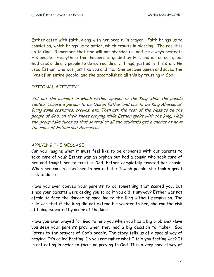Esther acted with faith, along with her people, in prayer. Faith brings us to conviction, which brings us to action, which results in blessing. The result is up to God. Remember that God will not abandon us, and He always protects His people. Everything that happens is guided by Him and is for our good. God uses ordinary people to do extraordinary things, just as in this story He used Esther, who was just like you and me. She became queen and saved the lives of an entire people, and she accomplished all this by trusting in God.

# OPTIONAL ACTIVITY 1

Act out the moment in which Esther speaks to the King while the people fasted. Choose a person to be Queen Esther and one to be King Ahasuerus. Bring some costumes, crowns, etc. Then ask the rest of the class to be the people of God, on their knees praying while Esther spoke with the King. Help the group take turns so that several or all the students get a chance ot have the roles of Esther and Ahasuerus

# APPLYING THE MESSAGE

Can you imagine what it must feel like to be orphaned with out parents to take care of you? Esther was an orphan but had a cousin who took care of her and taught her to trust in God. Esther completely trusted her cousin. When her cousin asked her to protect the Jewish people, she took a great risk to do so.

Have you ever obeyed your parents to do something that scared you, but since your parents were asking you to do it you did it anyway? Esther was not afraid to face the danger of speaking to the King without permission. The rule was that if the king did not extend his scepter to her, she ran the risk of being executed by order of the king.

Have you ever prayed for God to help you when you had a big problem? Have you seen your parents pray when they had a big decision to make? God listens to the prayers of God's people. The story tells us of a special way of praying. It's called Fasting. Do you remember what I told you fasting was? It is not eating in order to focus on praying to God. It is a very special way of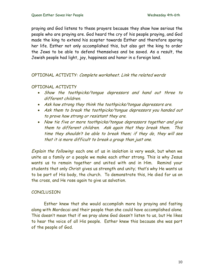praying and God listens to these prayers because they show how serious the people who are praying are. God heard the cry of his people praying, and God made the king to extend his scepter towards Esther and therefore sparing her life. Esther not only accomplished this, but also got the king to order the Jews to be able to defend themselves and be saved. As a result, the Jewish people had light, joy, happiness and honor in a foreign land.

OPTIONAL ACTIVITY: Complete worksheet. Link the related words

# OPTIONAL ACTIVITY

- Show the toothpicks/tongue depressors and hand out three to different children.
- Ask how strong they think the toothpicks/tongue depressors are.
- Ask them to break the toothpicks/tongue depressors you handed out to prove how strong or resistant they are.
- Now tie five or more toothpicks/tongue depressors together and give them to different children. Ask again that they break them. This time they shouldn't be able to break them; if they do, they will see that it is more difficult to break a group than just one.

Explain the following each one of us in isolation is very weak, but when we unite as a family or a people we make each other strong. This is why Jesus wants us to remain together and united with and in Him. Remind your students that only Christ gives us strength and unity; that's why He wants us to be part of His body, the church. To demonstrate this, He died for us on the cross, and He rose again to give us salvation.

# **CONCLUSION**

 Esther knew that she would accomplish more by praying and fasting along with Mordecai and their people than she could have accomplished alone. This doesn't mean that if we pray alone God doesn't listen to us, but He likes to hear the voice of all His people. Esther knew this because she was part of the people of God.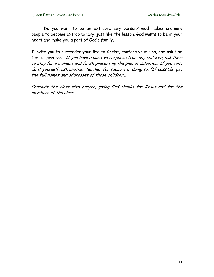Do you want to be an extraordinary person? God makes ordinary people to become extraordinary, just like the lesson. God wants to be in your heart and make you a part of God's family.

I invite you to surrender your life to Christ, confess your sins, and ask God for forgiveness. If you have a positive response from any children, ask them to stay for a moment and finish presenting the plan of salvation. If you can't do it yourself, ask another teacher for support in doing so. (If possible, get the full names and addresses of these children).

Conclude the class with prayer, giving God thanks for Jesus and for the members of the class.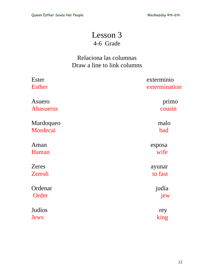# Lesson 3 4-6 Grade

# Relaciona las columnas Draw a line to link columns

| <b>Ester</b>     | exterminio    |
|------------------|---------------|
| <b>Esther</b>    | extermination |
| Asuero           | primo         |
| <b>Ahasuerus</b> | cousin        |
| Mardoqueo        | malo          |
| Mordecai         | bad           |
| Aman             | esposa        |
| Haman            | wife          |
| <b>Zeres</b>     | ayunar        |
| <b>Zeresh</b>    | to fast       |
| Ordenar          | judía         |
| Order            | jew           |
| Judíos           | rey           |
| Jews             | king          |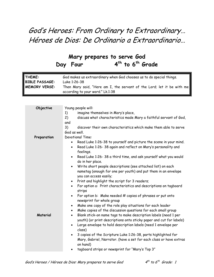# God's Heroes: From Ordinary to Extraordinary… Héroes de Dios: De Ordinario a Extraordinario…

# **Mary prepares to serve God**  Day Four 4<sup>th</sup> to 6<sup>th</sup> Grade

| THEME:                | God makes us extraordinary when God chooses us to do special things.   |
|-----------------------|------------------------------------------------------------------------|
| <b>BIBLE PASSAGE:</b> | Luke 1:26-38                                                           |
| <b>MEMORY VERSE:</b>  | Then Mary said, "Here am I, the servant of the Lord; let it be with me |
|                       | according to your word." Lk.1:38                                       |

| Objective   | Young people will:                                                                                  |  |  |  |
|-------------|-----------------------------------------------------------------------------------------------------|--|--|--|
|             | imagine themselves in Mary's place,<br>1)                                                           |  |  |  |
|             | 2)<br>discuss what characteristics made Mary a faithful servant of God,                             |  |  |  |
|             | and                                                                                                 |  |  |  |
|             | 3)<br>discover their own characteristics which make them able to serve                              |  |  |  |
|             | God as well.                                                                                        |  |  |  |
| Preparation | <b>Devotional Time:</b>                                                                             |  |  |  |
|             | Read Luke 1:26-38 to yourself and picture the scene in your mind.<br>$\bullet$                      |  |  |  |
|             | Read Luke 1:26-38 again and reflect on Mary's personality and<br>$\bullet$                          |  |  |  |
|             | feelings.                                                                                           |  |  |  |
|             | Read Luke 1:26-38 a third time, and ask yourself what you would<br>$\bullet$<br>do in her place.    |  |  |  |
|             | Write short people descriptions (see attached list) on each<br>$\bullet$                            |  |  |  |
|             | nametag (enough for one per youth) and put them in an envelope                                      |  |  |  |
|             | you can access easily;                                                                              |  |  |  |
|             | • Print and highlight the script for 3 readers;                                                     |  |  |  |
|             | For option a: Print characteristics and descriptions on tagboard<br>$\bullet$<br>strips             |  |  |  |
|             | For option b: Make needed # copies of phrases or put onto<br>$\bullet$<br>newsprint for whole group |  |  |  |
|             | Make one copy of the role play situations for each leader<br>$\bullet$                              |  |  |  |
|             | Make copies of the discussion questions for each small group<br>$\bullet$                           |  |  |  |
| Material    | Blank stick-on name tags to make description labels (need 1 per<br>$\bullet$                        |  |  |  |
|             | youth) (or print descriptions onto sticky paper and cut for labels)                                 |  |  |  |
|             | Large envelope to hold description labels (need 1 envelope per<br>$\bullet$<br>class)               |  |  |  |
|             | 3 copies of the Scripture Luke 1:26-38, parts highlighted for<br>$\bullet$                          |  |  |  |
|             | Mary, Gabriel, Narrator. (have a set for each class or have extras<br>on hand)                      |  |  |  |
|             | tagboard strips or newsprint for "Mary's Top 3"<br>$\bullet$                                        |  |  |  |
|             |                                                                                                     |  |  |  |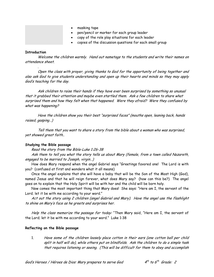|  | • masking tape<br>• pen/pencil or marker for each group leader<br>• copy of the role play situations for each leader |
|--|----------------------------------------------------------------------------------------------------------------------|
|  | • copies of the discussion questions for each small group                                                            |

#### **Introduction**

.

Welcome the children warmly. Hand out nametags to the students and write their names on attendance sheet.

Open the class with prayer, giving thanks to God for the opportunity of being together and also ask God to give students understanding and open up their hearts and minds so they may apply God's teaching for the day.

Ask children to raise their hands if they have ever been surprised by something so unusual that it grabbed their attention and maybe even startled them. Ask a few children to share what surprised them and how they felt when that happened. Were they afraid? Were they confused by what was happening?

Have the children show you their best "surprised faces" (mouths open, leaning back, hands raised, gasping…)

Tell them that you want to share a story from the bible about a woman who was surprised, yet showed great faith..

#### **Studying the Bible passage**

Read the story from the Bible-Luke 1:26-38

Ask them to tell you what the story tells us about Mary (female, from a town called Nazareth, engaged to be married to Joseph, virgin…)

How does Mary respond when the angel Gabriel says "Greetings favored one! The Lord is with you? (confused at first and wonders what it all means)

Once the angel explains that she will have a baby that will be the Son of the Most High (God), named Jesus and that he will reign forever, what does Mary say? (how can this be?) The angel goes on to explain that the Holy Spirit will be with her and the child will be born holy.

Now comes the most important thing that Mary does! She says: "Here am I, the servant of the Lord; let it be with me according to your word."

Act out the story using 2 children (angel Gabriel and Mary). Have the angel use the flashlight to shine on Mary's face as he greets and surprises her.

Help the class memorize the passage for today: "Then Mary said, "Here am I, the servant of the Lord; let it be with me according to your word." Luke 1:38

#### **Reflecting on the Bible passage**

1. Have some of the children loosely place cotton in their ears (one cotton ball per child split in half will do), while others put on blindfolds. Ask the children to do a simple task that requires listening or seeing. (This will be difficult for them to obey and accomplish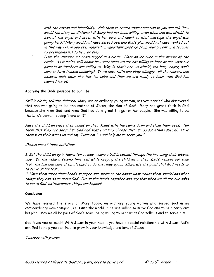with the cotton and blindfolds). Ask them to return their attention to you and ask "how would the story be different if Mary had not been willing, even when she was afraid, to look at the angel and listen with her ears and heart to what message the angel was giving her?." (Mary would not have served God and God's plan would not have worked out in this way.) Have you ever ignored an important message from your parent or a teacher by pretending not to hear or see?

2. Have the children sit cross-legged in a circle. Place an ice cube in the middle of the circle. As it melts, talk about how sometimes we are not willing to hear or see what our parents or teachers are telling us. Why is that? Are we afraid, too busy, angry, don't care or have trouble believing? If we have faith and obey willingly, all the reasons and excuses melt away like this ice cube and then we are ready to hear what God has planned for us.

#### **Applying the Bible passage to our life**

Still in circle, tell the children: Mary was an ordinary young woman, not yet married who discovered that she was going to be the mother of Jesus, the Son of God! Mary had great faith in God because she knew God, and knew God had done great things for her people. She was willing to be the Lord's servant saying "here am I".

Have the children place their hands on their knees with the palms down and close their eyes. Tell them that they are special to God and that God may choose them to do something special. Have them turn their palms up and say "Here am I, Lord help me to serve you."

Choose one of these activities:

1. Set the children up in teams for a relay, where a ball is passed through the line using their elbows only. Do the relay a second time, but while keeping the children in their spots, remove someone from the line and have them attempt to do the relay again. Illustrate the point that God needs us to serve on his team.

2. Have them trace their hands on paper and write on the hands what makes them special and what things they can do to serve God. Put all the hands together and say that when we all use our gifts to serve God, extraordinary things can happen!

#### **Conclusion**

We have learned the story of Mary today, an ordinary young woman who served God in an extraordinary way-bringing Jesus into the world. She was willing to serve God and to help carry out his plan. May we all be part of God's team, being willing to hear what God tells us and to serve him.

God loves you so much! With Jesus in your heart, you have a special relationship with Jesus. Let's ask God to help you continue to grow in your knowledge and love of Jesus.

Conclude with prayer.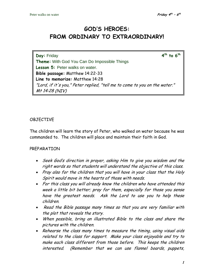# **GOD'S HEROES: FROM ORDINARY TO EXTRAORDINARY!**

**Day:** Friday **4<sup>th</sup> to 6<sup>th</sup> Theme:** With God You Can Do Impossible Things **Lesson 5:** Peter walks on water. **Bible passage:** Matthew 14:22-33 **Line to memorize:** Matthew 14:28 "Lord, if it's you," Peter replied, "tell me to come to you on the water." Mt 14:28 (NIV)

# OBJECTIVE

The children will learn the story of Peter, who walked on water because he was commanded to. The children will place and maintain their faith in God.

# PREPARATION

- Seek God's direction in prayer, asking Him to give you wisdom and the right words so that students will understand the objective of this class.
- Pray also for the children that you will have in your class that the Holy Spirit would move in the hearts of those with needs.
- For this class you will already know the children who have attended this week a little bit better; pray for them, especially for those you sense have the greatest needs. Ask the Lord to use you to help these children.
- Read the Bible passage many times so that you are very familiar with the plot that reveals the story.
- When possible, bring an illustrated Bible to the class and share the pictures with the children.
- Rehearse the class many times to measure the timing, using visual aids related to the class for support. Make your class enjoyable and try to make each class different from those before. This keeps the children interested. (Remember that we can use flannel boards, puppets,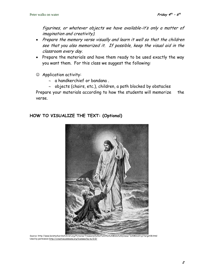figurines, or whatever objects we have available-it's only a matter of imagination and creativity).

- Prepare the memory verse visually and learn it well so that the children see that you also memorized it. If possible, keep the visual aid in the classroom every day.
- Prepare the materials and have them ready to be used exactly the way you want them. For this class we suggest the following:
- ☺ Application activity:
	- ∼ a handkerchief or bandana .
	- ∼ objects (chairs, etc.), children, a path blocked by obstacles

Prepare your materials according to how the students will memorize the verse.

# **HOW TO VISUALIZE THE TEXT: (Optional)**



Source: http://www.lavistachurchofchrist.org/Pictures/Treasures%20of%20the%20Bible%20(Jesus'%20Ministry)/target18.html Used by permission <http://creativecommons.org/licenses/by-nc/2.0/>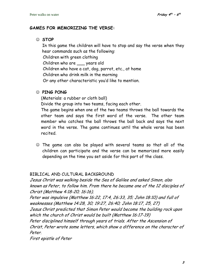# **GAMES FOR MEMORIZING THE VERSE:**

### ☺ **STOP**

In this game the children will have to stop and say the verse when they hear commands such as the following: Children with green clothing

Children who are \_\_\_ years old

Children who have a cat, dog, parrot, etc., at home

Children who drink milk in the morning

Or any other characteristic you'd like to mention.

# ☺ **PING PONG**

(Materials: a rubber or cloth ball)

Divide the group into two teams, facing each other.

The game begins when one of the two teams throws the ball towards the other team and says the first word of the verse. The other team member who catches the ball throws the ball back and says the next word in the verse. The game continues until the whole verse has been recited.

☺ The game can also be played with several teams so that all of the children can participate and the verse can be memorized more easily depending on the time you set aside for this part of the class.

# BIBLICAL AND CULTURAL BACKGROUND

Jesus Christ was walking beside the Sea of Galilee and asked Simon, also known as Peter, to follow him. From there he became one of the 12 disciples of Christ (Matthew 4:18-20; 16:16).

Peter was impulsive (Matthew 16:22, 17:4, 26:33, 35; John 18:10) and full of weaknesses (Matthew 14:28, 30; 19:27, 26:40; John 18:17, 25, 27)

Jesus Christ predicted that Simon Peter would become the building rock upon which the church of Christ would be built (Matthew 16:17-19)

Peter disciplined himself through years of trials. After the Ascension of Christ, Peter wrote some letters, which show a difference on the character of Peter.

First epistle of Peter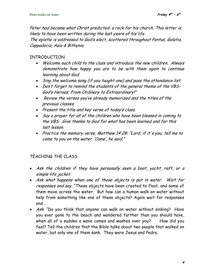Peter had become what Christ predicted: a rock for his church. This letter is likely to have been written during the last years of his life The epistle is addressed to God's elect, scattered throughout Pontus, Galatia, Cappadocia, Asia & Bithynia.

# INTRODUCTION

- Welcome each child to the class and introduce the new children. Always demonstrate how happy you are to be with them again to continue learning about God.
- Sing the welcome song (if you taught one) and pass the attendance list.
- Don't forget to remind the students of the general theme of the VBS-God's Heroes: From Ordinary to Extraordinary!"
- Review the verses you've already memorized and the titles of the previous classes.
- Present the title and key verse of today's class.
- Say a prayer for all of the children who have been blessed in coming to the VBS. Give thanks to God for what has been learned and for this last lesson.
- Practice the memory verse, Matthew 14:28: "Lord, if it's you, tell me to come to you on the water. 'Come', he said."

# TEACHING THE CLASS

- Ask the children if they have personally seen a boat, yacht, raft, or a simple life jacket.
- Ask what happens when one of these objects is put in water. Wait for responses and say, "These objects have been created to float, and some of them move across the water. But how can a human walk on water without help from something like one of these objects? Again wait for responses and…
- Ask: "Do you think that anyone can walk on water without sinking? Have you ever gone to the beach and wandered farther than you should have, when all of a sudden a wave comes and washes over you? How did you feel? Tell the children that the Bible talks about two people that walked on water, but only one of them sank. They were Jesus and Pedro.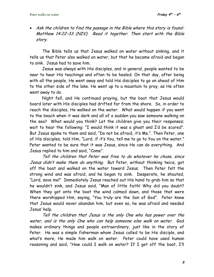• Ask the children to find the passage in the Bible where this story is found-Matthew 14:22-33 (NIV). Read it together. Then start with the Bible story.

 The Bible tells us that Jesus walked on water without sinking, and it tells us that Peter also walked on water, but that he became afraid and began to sink. Jesus had to save him.

Jesus was always with His disciples, and in general, people wanted to be near to hear His teachings and often to be healed. On that day, after being with all the people, He went away and told His disciples to go on ahead of Him to the other side of the lake. He went up to a mountain to pray, as He often went away to do.

Night fell, and He continued praying, but the boat that Jesus would board later with His disciples had drifted far from the shore. So, in order to reach the disciples, He walked on the water. What would happen if you went to the beach when it was dark and all of a sudden you saw someone walking on the sea? What would you think? Let the children give you their responses; wait to hear the following: "I would think it was a ghost and I'd be scared". But Jesus spoke to them and said, "Do not be afraid, it's Me.". Then Peter, one of His disciples, told Him, "Lord, if it's You, tell me to go to You on the water." Peter wanted to be sure that it was Jesus, since He can do everything. And Jesus replied to him and said, "Come".

Tell the children that Peter was free to do whatever he chose, since Jesus didn't make them do anything. But Peter, without thinking twice, got off the boat and walked on the water toward Jesus. Then Peter felt the strong wind and was afraid, and he began to sink. Desperate, he shouted, "Lord, save me!" Immediately Jesus reached out His hand to grab him so that he wouldn't sink, and Jesus said, "Man of little faith! Why did you doubt? When they got onto the boat the wind calmed down, and those that were there worshipped Him, saying, "You truly are the Son of God". Peter knew that Jesus would never abandon him, but even so, he was afraid and needed Jesus' help.

Tell the children that Jesus is the only One who has power over the water, and is the only One who can help someone else walk on water. God makes ordinary things and people extraordinary, just like in the story of Peter. He was a simple fisherman whom Jesus called to be His disciple, and what's more, He made him walk on water. Peter could have used human reasoning and said, "How could I walk on water? If I get off the boat, I'll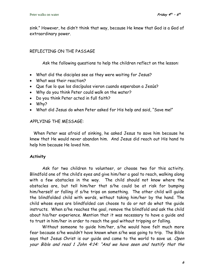sink." However, he didn't think that way, because He knew that God is a God of extraordinary power.

# REFLECTING ON THE PASSAGE

Ask the following questions to help the children reflect on the lesson:

- What did the disciples see as they were waiting for Jesus?
- What was their reaction?
- Que fue lo que los discípulos vieron cuando esperaban a Jesús?
- Why do you think Peter could walk on the water?
- Do you think Peter acted in full faith?
- Why?
- What did Jesus do when Peter asked for His help and said, "Save me!"

# APPLYING THE MESSAGE:

 When Peter was afraid of sinking, he asked Jesus to save him because he knew that He would never abandon him. And Jesus did reach out His hand to help him because He loved him.

# **Activity**

 Ask for two children to volunteer, or choose two for this activity. Blindfold one of the child's eyes and give him/her a goal to reach, walking along with a few obstacles in the way. The child should not know where the obstacles are, but tell him/her that s/he could be at risk for bumping him/herself or falling if s/he trips on something. The other child will guide the blindfolded child with words, without taking him/her by the hand. The child whose eyes are blindfolded can choose to do or not do what the guide instructs. When s/he reaches the goal, remove the blindfold and ask the child about his/her experience. Mention that it was necessary to have a guide and to trust in him/her in order to reach the goal without tripping or falling.

Without someone to guide him/her, s/he would have felt much more fear because s/he wouldn't have known when s/he was going to trip. The Bible says that Jesus Christ is our quide and came to the world to save us. Open your Bible and read 1 John 4:14: "And we have seen and testify that the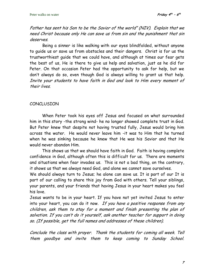Father has sent his Son to be the Savior of the world" (NIV). Explain that we need Christ because only He can save us from sin and the punishment that sin deserves.

 Being a sinner is like walking with our eyes blindfolded, without anyone to guide us or save us from obstacles and their dangers. Christ is for us the trustworthiest guide that we could have, and although at times our fear gets the best of us, He is there to give us help and salvation, just as he did for Peter. On that occasion Peter had the opportunity to ask for help, but we don't always do so, even though God is always willing to grant us that help. Invite your students to have faith in God and look to Him every moment of their lives.

# **CONCLUSION**

When Peter took his eyes off Jesus and focused on what surrounded him in this story -the strong wind- he no longer showed complete trust in God. But Peter knew that despite not having trusted fully, Jesus would bring him across the water. He would never leave him -it was to Him that he turned when he was sinking because he knew that He was his Savior and that He would never abandon Him.

This shows us that we should have faith in God. Faith is having complete confidence in God, although often this is difficult for us. There are moments and situations when fear invades us. This is not a bad thing, on the contrary, it shows us that we always need God, and alone we cannot save ourselves.

We should always turn to Jesus; he alone can save us. It is part of our It is part of our calling to share this joy from God with others. Tell your siblings, your parents, and your friends that having Jesus in your heart makes you feel his love.

Jesus wants to be in your heart. If you have not yet invited Jesus to enter into your heart, you can do it now. If you have a positive response from any children, ask them to stay for a moment and finish presenting the plan of salvation. If you can't do it yourself, ask another teacher for support in doing so. (If possible, get the full names and addresses of these children).

Conclude the class with prayer. Thank the students for coming all week. Tell them goodbye and invite them to keep coming to Sunday School.